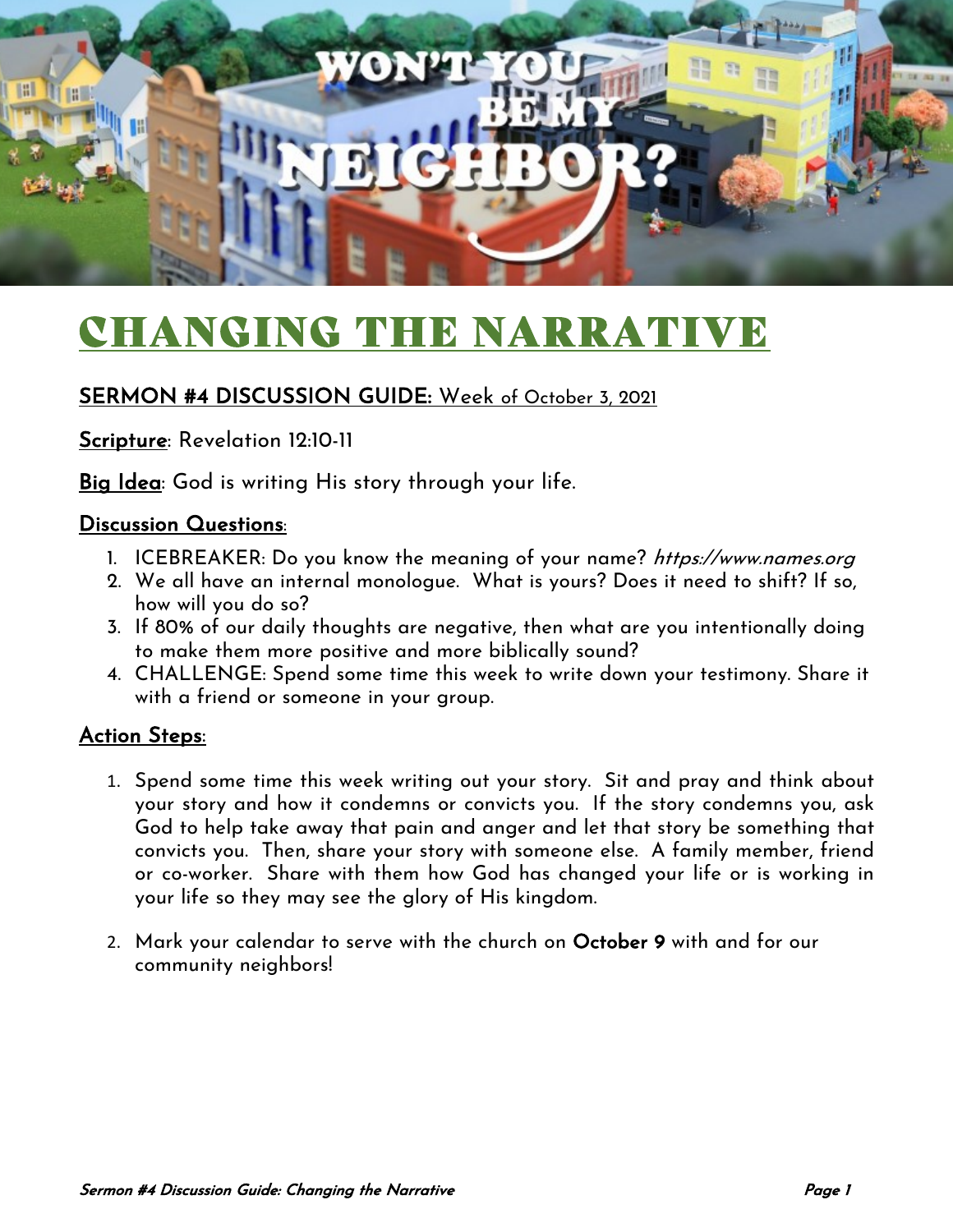

# CHANGING THE NARRATIVE

### SERMON #4 DISCUSSION GUIDE: Week of October 3, 2021

Scripture: Revelation 12:10-11

Big Idea: God is writing His story through your life.

#### Discussion Questions:

- 1. ICEBREAKER: Do you know the meaning of your name? https://www.names.org
- 2. We all have an internal monologue. What is yours? Does it need to shift? If so, how will you do so?
- 3. If 80% of our daily thoughts are negative, then what are you intentionally doing to make them more positive and more biblically sound?
- 4. CHALLENGE: Spend some time this week to write down your testimony. Share it with a friend or someone in your group.

#### Action Steps:

- 1. Spend some time this week writing out your story. Sit and pray and think about your story and how it condemns or convicts you. If the story condemns you, ask God to help take away that pain and anger and let that story be something that convicts you. Then, share your story with someone else. A family member, friend or co-worker. Share with them how God has changed your life or is working in your life so they may see the glory of His kingdom.
- 2. Mark your calendar to serve with the church on October 9 with and for our community neighbors!